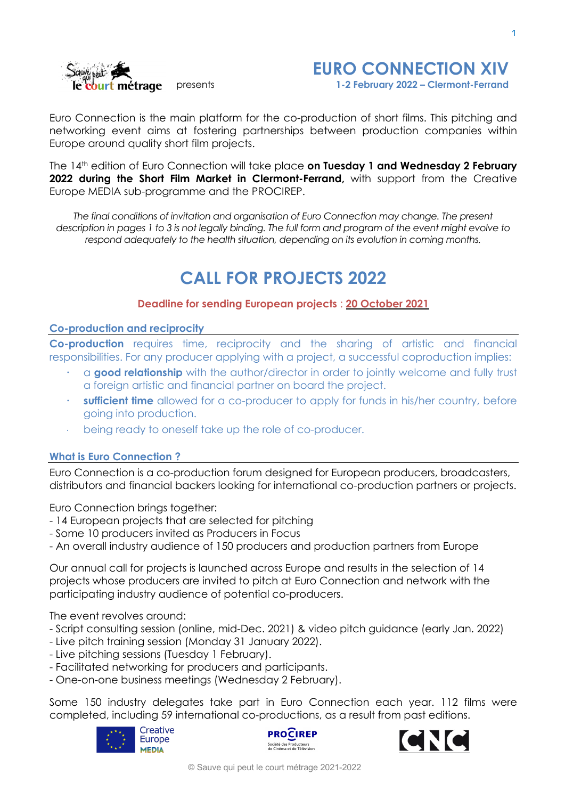



Euro Connection is the main platform for the co-production of short films. This pitching and networking event aims at fostering partnerships between production companies within Europe around quality short film projects.

The 14th edition of Euro Connection will take place **on Tuesday 1 and Wednesday 2 February 2022 during the Short Film Market in Clermont-Ferrand,** with support from the Creative Europe MEDIA sub-programme and the PROCIREP.

*The final conditions of invitation and organisation of Euro Connection may change. The present* description in pages 1 to 3 is not legally binding. The full form and program of the event might evolve to *respond adequately to the health situation, depending on its evolution in coming months.*

## **CALL FOR PROJECTS 2022**

## **Deadline for sending European projects** : **20 October 2021**

#### **Co-production and reciprocity**

**Co-production** requires time, reciprocity and the sharing of artistic and financial responsibilities. For any producer applying with a project, a successful coproduction implies:

- a **good relationship** with the author/director in order to jointly welcome and fully trust a foreign artistic and financial partner on board the project.
- **sufficient time** allowed for a co-producer to apply for funds in his/her country, before going into production.
- being ready to oneself take up the role of co-producer.

## **What is Euro Connection ?**

Euro Connection is a co-production forum designed for European producers, broadcasters, distributors and financial backers looking for international co-production partners or projects.

Euro Connection brings together:

- 14 European projects that are selected for pitching
- Some 10 producers invited as Producers in Focus
- An overall industry audience of 150 producers and production partners from Europe

Our annual call for projects is launched across Europe and results in the selection of 14 projects whose producers are invited to pitch at Euro Connection and network with the participating industry audience of potential co-producers.

The event revolves around:

- Script consulting session (online, mid-Dec. 2021) & video pitch guidance (early Jan. 2022)
- Live pitch training session (Monday 31 January 2022).
- Live pitching sessions (Tuesday 1 February).
- Facilitated networking for producers and participants.
- One-on-one business meetings (Wednesday 2 February).

Some 150 industry delegates take part in Euro Connection each year. 112 films were completed, including 59 international co-productions, as a result from past editions.





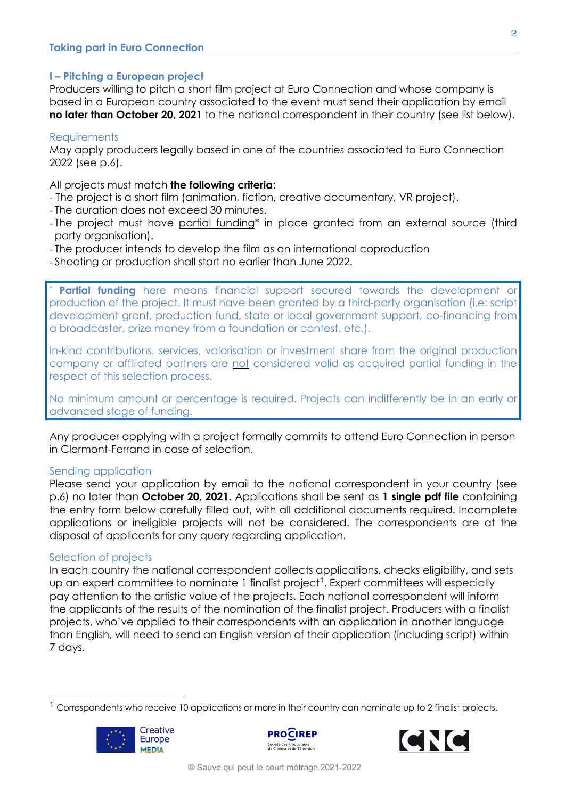## **I – Pitching a European project**

Producers willing to pitch a short film project at Euro Connection and whose company is based in a European country associated to the event must send their application by email **no later than October 20, 2021** to the national correspondent in their country (see list below).

## **Requirements**

May apply producers legally based in one of the countries associated to Euro Connection 2022 (see p.6).

All projects must match **the following criteria**:

- The project is a short film (animation, fiction, creative documentary, VR project).
- The duration does not exceed 30 minutes.
- The project must have partial funding\* in place granted from an external source (third party organisation).
- The producer intends to develop the film as an international coproduction
- Shooting or production shall start no earlier than June 2022.

**Partial funding** here means financial support secured towards the development or production of the project. It must have been granted by a third-party organisation (i.e: script development grant, production fund, state or local government support, co-financing from a broadcaster, prize money from a foundation or contest, etc.).

In-kind contributions, services, valorisation or investment share from the original production company or affiliated partners are not considered valid as acquired partial funding in the respect of this selection process.

No minimum amount or percentage is required. Projects can indifferently be in an early or advanced stage of funding.

Any producer applying with a project formally commits to attend Euro Connection in person in Clermont-Ferrand in case of selection.

## Sending application

Please send your application by email to the national correspondent in your country (see p.6) no later than **October 20, 2021.** Applications shall be sent as **1 single pdf file** containing the entry form below carefully filled out, with all additional documents required. Incomplete applications or ineligible projects will not be considered. The correspondents are at the disposal of applicants for any query regarding application.

## Selection of projects

In each country the national correspondent collects applications, checks eligibility, and sets up an expert committee to nominate 1 finalist project<sup>1</sup>. Expert committees will especially pay attention to the artistic value of the projects. Each national correspondent will inform the applicants of the results of the nomination of the finalist project. Producers with a finalist projects, who've applied to their correspondents with an application in another language than English, will need to send an English version of their application (including script) within 7 days.

<sup>&</sup>lt;sup>1</sup> Correspondents who receive 10 applications or more in their country can nominate up to 2 finalist projects.





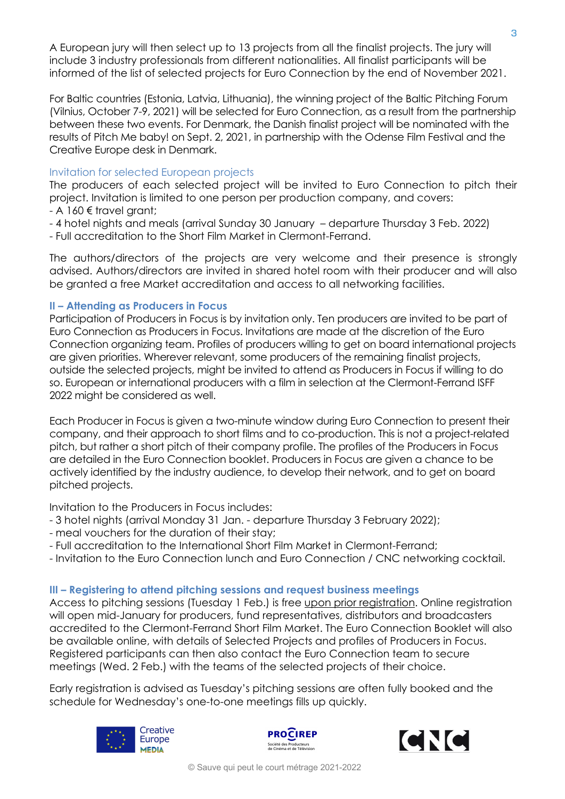A European jury will then select up to 13 projects from all the finalist projects. The jury will include 3 industry professionals from different nationalities. All finalist participants will be informed of the list of selected projects for Euro Connection by the end of November 2021.

For Baltic countries (Estonia, Latvia, Lithuania), the winning project of the Baltic Pitching Forum (Vilnius, October 7-9, 2021) will be selected for Euro Connection, as a result from the partnership between these two events. For Denmark, the Danish finalist project will be nominated with the results of Pitch Me baby! on Sept. 2, 2021, in partnership with the Odense Film Festival and the Creative Europe desk in Denmark.

## Invitation for selected European projects

The producers of each selected project will be invited to Euro Connection to pitch their project. Invitation is limited to one person per production company, and covers:

- $-A$  160  $\notin$  travel grant;
- 4 hotel nights and meals (arrival Sunday 30 January departure Thursday 3 Feb. 2022)

- Full accreditation to the Short Film Market in Clermont-Ferrand.

The authors/directors of the projects are very welcome and their presence is strongly advised. Authors/directors are invited in shared hotel room with their producer and will also be granted a free Market accreditation and access to all networking facilities.

## **II – Attending as Producers in Focus**

Participation of Producers in Focus is by invitation only. Ten producers are invited to be part of Euro Connection as Producers in Focus. Invitations are made at the discretion of the Euro Connection organizing team. Profiles of producers willing to get on board international projects are given priorities. Wherever relevant, some producers of the remaining finalist projects, outside the selected projects, might be invited to attend as Producers in Focus if willing to do so. European or international producers with a film in selection at the Clermont-Ferrand ISFF 2022 might be considered as well.

Each Producer in Focus is given a two-minute window during Euro Connection to present their company, and their approach to short films and to co-production. This is not a project-related pitch, but rather a short pitch of their company profile. The profiles of the Producers in Focus are detailed in the Euro Connection booklet. Producers in Focus are given a chance to be actively identified by the industry audience, to develop their network, and to get on board pitched projects.

Invitation to the Producers in Focus includes:

- 3 hotel nights (arrival Monday 31 Jan. departure Thursday 3 February 2022);
- meal vouchers for the duration of their stay;
- Full accreditation to the International Short Film Market in Clermont-Ferrand;
- Invitation to the Euro Connection lunch and Euro Connection / CNC networking cocktail.

## **III – Registering to attend pitching sessions and request business meetings**

Access to pitching sessions (Tuesday 1 Feb.) is free upon prior registration. Online registration will open mid-January for producers, fund representatives, distributors and broadcasters accredited to the Clermont-Ferrand Short Film Market. The Euro Connection Booklet will also be available online, with details of Selected Projects and profiles of Producers in Focus. Registered participants can then also contact the Euro Connection team to secure meetings (Wed. 2 Feb.) with the teams of the selected projects of their choice.

Early registration is advised as Tuesday's pitching sessions are often fully booked and the schedule for Wednesday's one-to-one meetings fills up quickly.





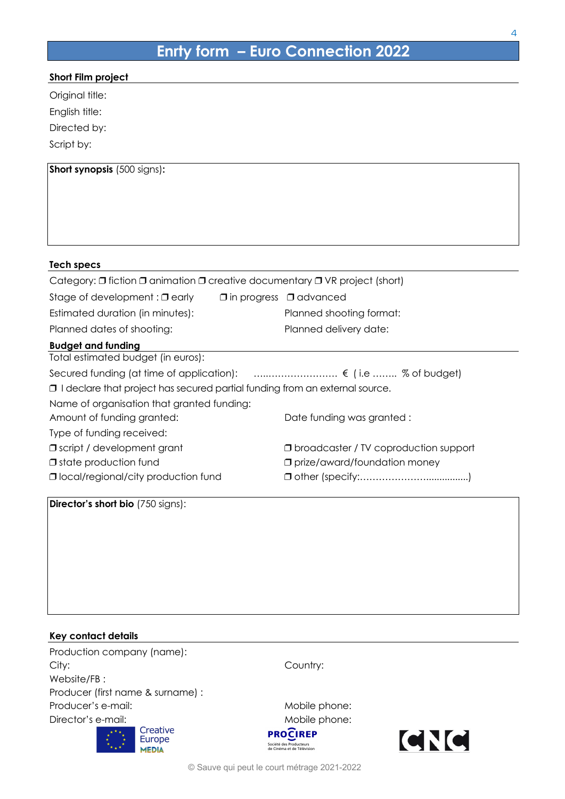# **Enrty form – Euro Connection 2022**

|  | Short Film project |
|--|--------------------|
|  |                    |

Original title:

English title:

Directed by:

Script by:

| <b>Short synopsis</b> (500 signs):                                                              |                                                |
|-------------------------------------------------------------------------------------------------|------------------------------------------------|
|                                                                                                 |                                                |
|                                                                                                 |                                                |
|                                                                                                 |                                                |
| <b>Tech specs</b>                                                                               |                                                |
| Category: $\Box$ fiction $\Box$ animation $\Box$ creative documentary $\Box$ VR project (short) |                                                |
| Stage of development: $\Box$ early $\Box$ in progress $\Box$ advanced                           |                                                |
| Estimated duration (in minutes):                                                                | Planned shooting format:                       |
| Planned dates of shooting:                                                                      | Planned delivery date:                         |
| <b>Budget and funding</b>                                                                       |                                                |
| Total estimated budget (in euros):                                                              |                                                |
| Secured funding (at time of application):  € (i.e  % of budget)                                 |                                                |
| $\Box$ I declare that project has secured partial funding from an external source.              |                                                |
| Name of organisation that granted funding:                                                      |                                                |
| Amount of funding granted:                                                                      | Date funding was granted :                     |
| Type of funding received:                                                                       |                                                |
| <b>J</b> script / development grant                                                             | <b>I</b> broadcaster / TV coproduction support |
| $\Box$ state production fund                                                                    | $\Box$ prize/award/foundation money            |
| <b>O</b> local/regional/city production fund                                                    |                                                |

**Director's short bio** (750 signs):

| Key contact details                |                                                                                        |
|------------------------------------|----------------------------------------------------------------------------------------|
| Production company (name):         |                                                                                        |
| City:                              | Country:                                                                               |
| Website/FB:                        |                                                                                        |
| Producer (first name & surname) :  |                                                                                        |
| Producer's e-mail:                 | Mobile phone:                                                                          |
| Director's e-mail:                 | Mobile phone:                                                                          |
| Creative<br>Europe<br><b>MEDIA</b> | <b>PROCIREP</b><br><b>CNC</b><br>Société des Producteurs<br>de Cinéma et de Télévision |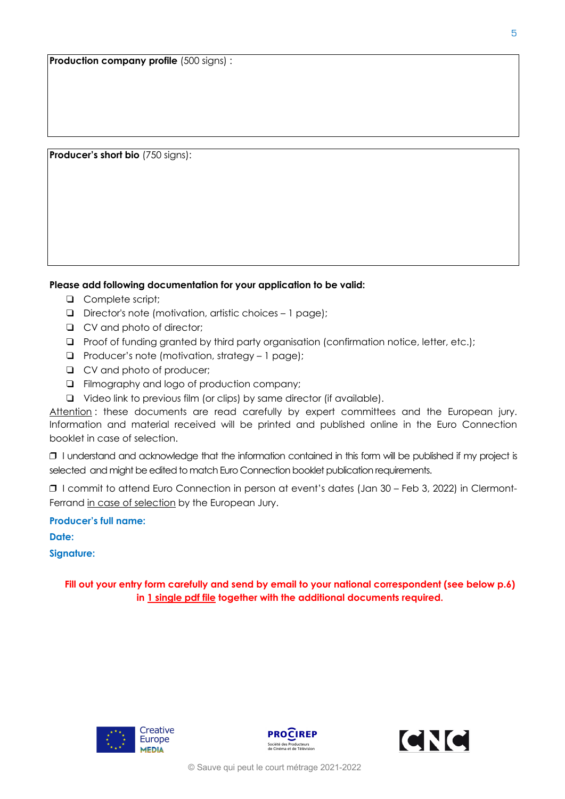**Producer's short bio** (750 signs):

#### **Please add following documentation for your application to be valid:**

- **Q** Complete script;
- $\Box$  Director's note (motivation, artistic choices 1 page);
- **Q** CV and photo of director:
- □ Proof of funding granted by third party organisation (confirmation notice, letter, etc.);
- $\Box$  Producer's note (motivation, strategy 1 page);
- □ CV and photo of producer;
- ! Filmography and logo of production company;
- $\Box$  Video link to previous film (or clips) by same director (if available).

Attention : these documents are read carefully by expert committees and the European jury. Information and material received will be printed and published online in the Euro Connection booklet in case of selection.

❒ I understand and acknowledge that the information contained in this form will be published if my project is selected and might be edited to match Euro Connection booklet publication requirements.

❒ I commit to attend Euro Connection in person at event's dates (Jan 30 – Feb 3, 2022) in Clermont-Ferrand in case of selection by the European Jury.

**Producer's full name:**

**Date:**

**Signature:**

**Fill out your entry form carefully and send by email to your national correspondent (see below p.6) in 1 single pdf file together with the additional documents required.**